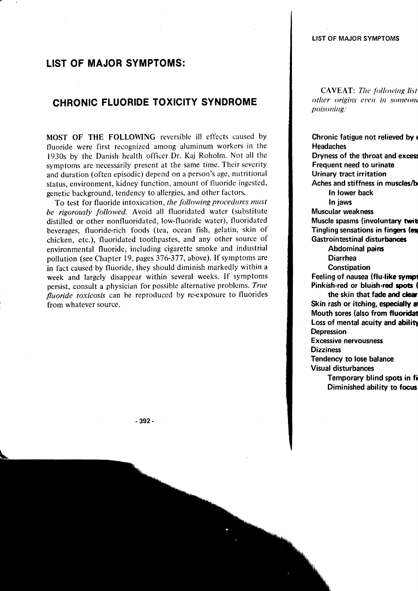## LIST OF MAJOR SYMPTOMS:

## CHRONIC FLUORIDE TOXICITY SYNDROME

MOST OF THE FOLLOWING reversible ill effects caused by fluoride were first recognized among aluminum workers in the 1930s by the Danish health officer Dr. Kaj Roholm. Not all the symptoms are necessarily present at the same time. Their severity and duration (often episodic) depend on a person's age, nutritional status, environment, kidney function, amount of fluoride ingested' genetic background, tendency to allergies, and other factors.

To test for fluoride intoxication, the following procedures must be rigorously followed. Avoid all fluoridated water (substitute distilled or other nonfluoridated, low-fluoride water), fluoridated beverages, fluoride-rich foods (tea, ocean fish, gelatin, skin of chicken, etc.), fluoridated toothpastes, and any other source of environmental fluoride, including cigarette smoke and industrial pollution (see Chapter 19, pages 376-377, above). If symptoms are in fact caused by fluoride, they should diminish markedly within a week and largely disappear within several weeks. If symptoms persist, consult a physician for possible alternative problems. True fluoride toxicosis can be reproduced by re-exposure to fluorides from whatever source.

**CAVEAT:** The following list other origins even in someone poisouiug:

Chronic fatigue not relieved by a Headaches Dryness of the throat and exces Frequent need to urinate Urinary tract irritation Aches and stiffness in muscles/b In lower back In jaws Muscular weakness Muscle spasms (involuntary twit Tingling sensations in fingers (es Gastrointestinal disturbances Abdominal pains Diarrhea **Constipation** Feeling of nausea (flu-like sympt Pinkish-red or bluish-red spots ( the skin that fade and clear Skin rash or itching, especially a Mouth sores (also from fluoridat Loss of mental acuity and ability Depression Excessive nervousness **Dizziness** Tendency to lose balance Visual disturbances Temporary blind spots in fl Diminished ability to focus

-392-